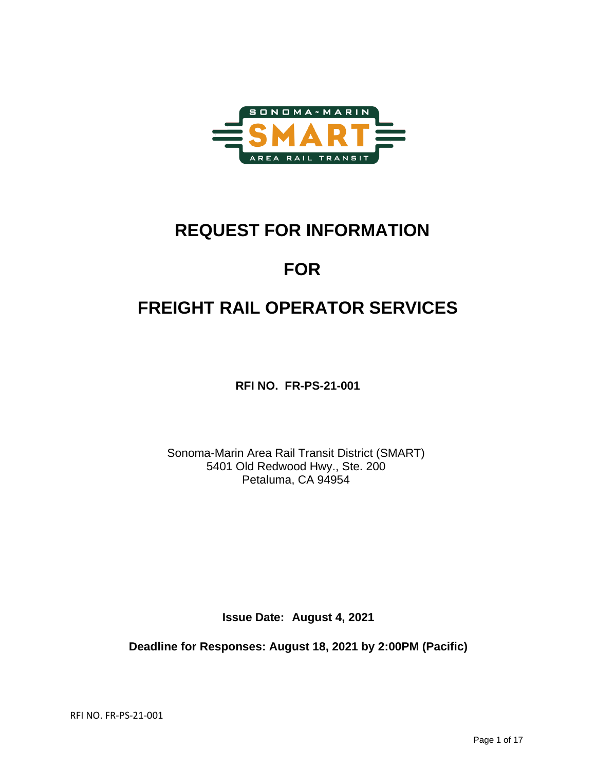

# **REQUEST FOR INFORMATION**

# **FOR**

# **FREIGHT RAIL OPERATOR SERVICES**

**RFI NO. FR-PS-21-001**

Sonoma-Marin Area Rail Transit District (SMART) 5401 Old Redwood Hwy., Ste. 200 Petaluma, CA 94954

**Issue Date: August 4, 2021**

**Deadline for Responses: August 18, 2021 by 2:00PM (Pacific)**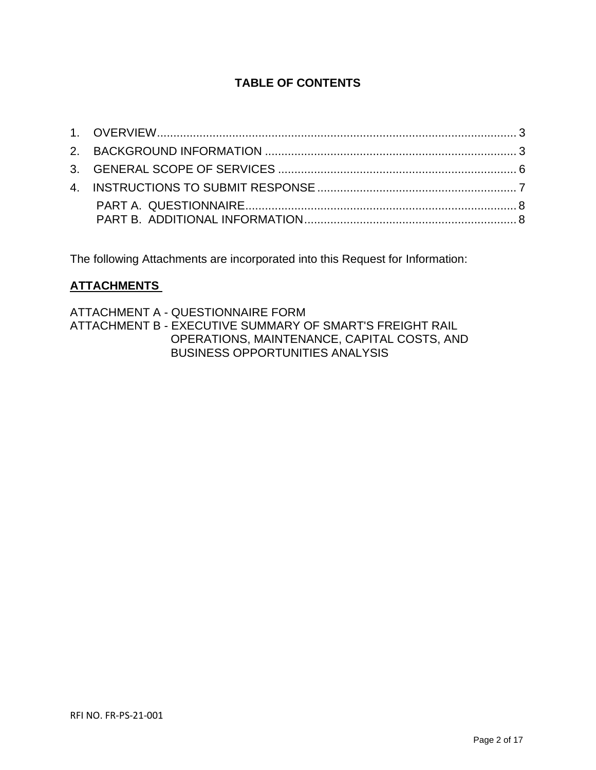# **TABLE OF CONTENTS**

The following Attachments are incorporated into this Request for Information:

# **ATTACHMENTS**

ATTACHMENT A - QUESTIONNAIRE FORM ATTACHMENT B - EXECUTIVE SUMMARY OF SMART'S FREIGHT RAIL OPERATIONS, MAINTENANCE, CAPITAL COSTS, AND BUSINESS OPPORTUNITIES ANALYSIS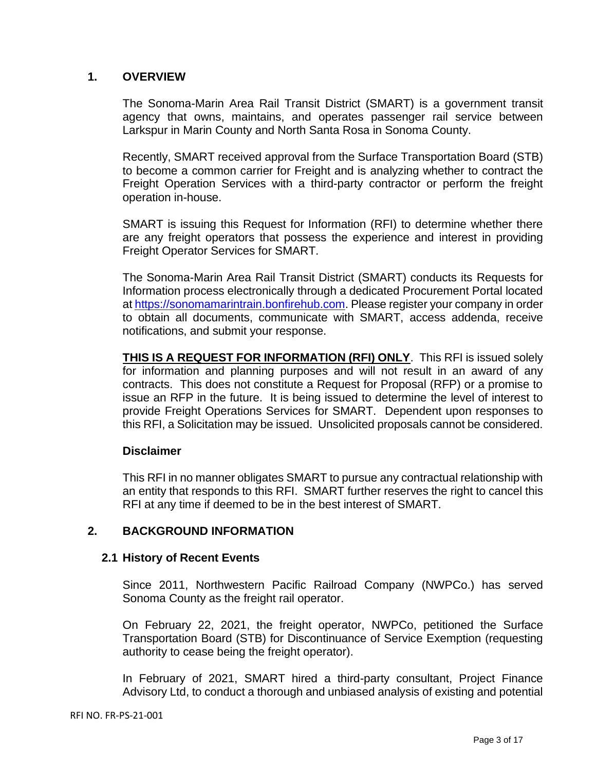### **1. OVERVIEW**

The Sonoma-Marin Area Rail Transit District (SMART) is a government transit agency that owns, maintains, and operates passenger rail service between Larkspur in Marin County and North Santa Rosa in Sonoma County.

Recently, SMART received approval from the Surface Transportation Board (STB) to become a common carrier for Freight and is analyzing whether to contract the Freight Operation Services with a third-party contractor or perform the freight operation in-house.

SMART is issuing this Request for Information (RFI) to determine whether there are any freight operators that possess the experience and interest in providing Freight Operator Services for SMART.

The Sonoma-Marin Area Rail Transit District (SMART) conducts its Requests for Information process electronically through a dedicated Procurement Portal located a[t https://sonomamarintrain.bonfirehub.com.](https://sonomamarintrain.bonfirehub.com/) Please register your company in order to obtain all documents, communicate with SMART, access addenda, receive notifications, and submit your response.

**THIS IS A REQUEST FOR INFORMATION (RFI) ONLY**. This RFI is issued solely for information and planning purposes and will not result in an award of any contracts. This does not constitute a Request for Proposal (RFP) or a promise to issue an RFP in the future. It is being issued to determine the level of interest to provide Freight Operations Services for SMART. Dependent upon responses to this RFI, a Solicitation may be issued. Unsolicited proposals cannot be considered.

### **Disclaimer**

This RFI in no manner obligates SMART to pursue any contractual relationship with an entity that responds to this RFI. SMART further reserves the right to cancel this RFI at any time if deemed to be in the best interest of SMART.

## **2. BACKGROUND INFORMATION**

### **2.1 History of Recent Events**

Since 2011, Northwestern Pacific Railroad Company (NWPCo.) has served Sonoma County as the freight rail operator.

On February 22, 2021, the freight operator, NWPCo, petitioned the Surface Transportation Board (STB) for Discontinuance of Service Exemption (requesting authority to cease being the freight operator).

In February of 2021, SMART hired a third-party consultant, Project Finance Advisory Ltd, to conduct a thorough and unbiased analysis of existing and potential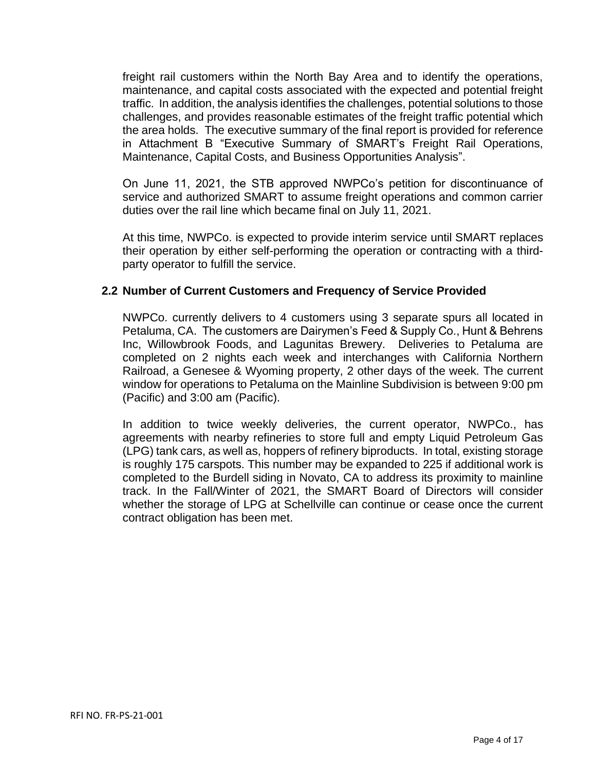freight rail customers within the North Bay Area and to identify the operations, maintenance, and capital costs associated with the expected and potential freight traffic. In addition, the analysis identifies the challenges, potential solutions to those challenges, and provides reasonable estimates of the freight traffic potential which the area holds. The executive summary of the final report is provided for reference in Attachment B "Executive Summary of SMART's Freight Rail Operations, Maintenance, Capital Costs, and Business Opportunities Analysis".

On June 11, 2021, the STB approved NWPCo's petition for discontinuance of service and authorized SMART to assume freight operations and common carrier duties over the rail line which became final on July 11, 2021.

At this time, NWPCo. is expected to provide interim service until SMART replaces their operation by either self-performing the operation or contracting with a thirdparty operator to fulfill the service.

#### **2.2 Number of Current Customers and Frequency of Service Provided**

NWPCo. currently delivers to 4 customers using 3 separate spurs all located in Petaluma, CA. The customers are Dairymen's Feed & Supply Co., Hunt & Behrens Inc, Willowbrook Foods, and Lagunitas Brewery. Deliveries to Petaluma are completed on 2 nights each week and interchanges with California Northern Railroad, a Genesee & Wyoming property, 2 other days of the week. The current window for operations to Petaluma on the Mainline Subdivision is between 9:00 pm (Pacific) and 3:00 am (Pacific).

In addition to twice weekly deliveries, the current operator, NWPCo., has agreements with nearby refineries to store full and empty Liquid Petroleum Gas (LPG) tank cars, as well as, hoppers of refinery biproducts. In total, existing storage is roughly 175 carspots. This number may be expanded to 225 if additional work is completed to the Burdell siding in Novato, CA to address its proximity to mainline track. In the Fall/Winter of 2021, the SMART Board of Directors will consider whether the storage of LPG at Schellville can continue or cease once the current contract obligation has been met.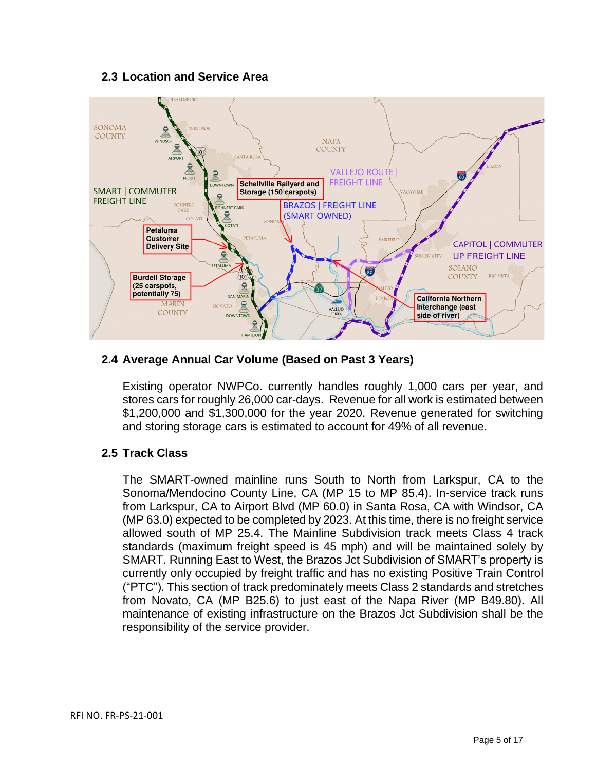## **2.3 Location and Service Area**



## **2.4 Average Annual Car Volume (Based on Past 3 Years)**

Existing operator NWPCo. currently handles roughly 1,000 cars per year, and stores cars for roughly 26,000 car-days. Revenue for all work is estimated between \$1,200,000 and \$1,300,000 for the year 2020. Revenue generated for switching and storing storage cars is estimated to account for 49% of all revenue.

### **2.5 Track Class**

The SMART-owned mainline runs South to North from Larkspur, CA to the Sonoma/Mendocino County Line, CA (MP 15 to MP 85.4). In-service track runs from Larkspur, CA to Airport Blvd (MP 60.0) in Santa Rosa, CA with Windsor, CA (MP 63.0) expected to be completed by 2023. At this time, there is no freight service allowed south of MP 25.4. The Mainline Subdivision track meets Class 4 track standards (maximum freight speed is 45 mph) and will be maintained solely by SMART. Running East to West, the Brazos Jct Subdivision of SMART's property is currently only occupied by freight traffic and has no existing Positive Train Control ("PTC"). This section of track predominately meets Class 2 standards and stretches from Novato, CA (MP B25.6) to just east of the Napa River (MP B49.80). All maintenance of existing infrastructure on the Brazos Jct Subdivision shall be the responsibility of the service provider.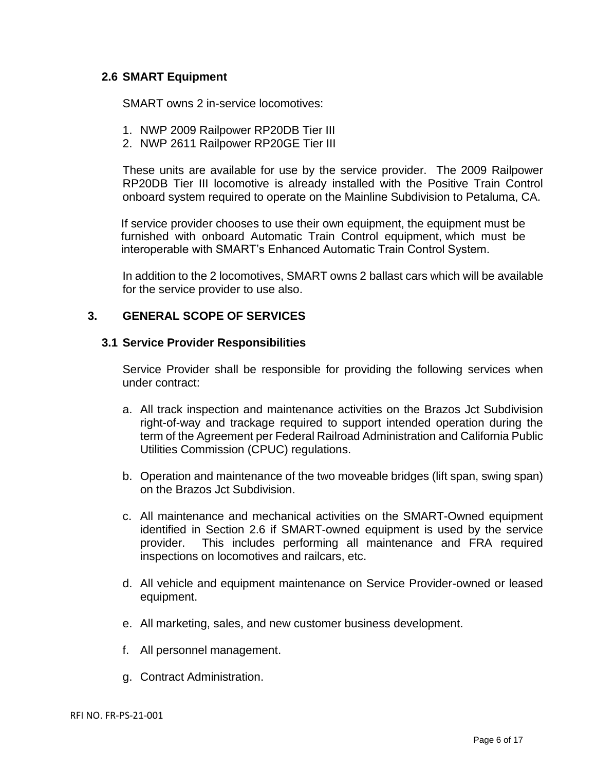#### **2.6 SMART Equipment**

SMART owns 2 in-service locomotives:

- 1. NWP 2009 Railpower RP20DB Tier III
- 2. NWP 2611 Railpower RP20GE Tier III

These units are available for use by the service provider. The 2009 Railpower RP20DB Tier III locomotive is already installed with the Positive Train Control onboard system required to operate on the Mainline Subdivision to Petaluma, CA.

If service provider chooses to use their own equipment, the equipment must be furnished with onboard Automatic Train Control equipment, which must be interoperable with SMART's Enhanced Automatic Train Control System.

In addition to the 2 locomotives, SMART owns 2 ballast cars which will be available for the service provider to use also.

### **3. GENERAL SCOPE OF SERVICES**

#### **3.1 Service Provider Responsibilities**

Service Provider shall be responsible for providing the following services when under contract:

- a. All track inspection and maintenance activities on the Brazos Jct Subdivision right-of-way and trackage required to support intended operation during the term of the Agreement per Federal Railroad Administration and California Public Utilities Commission (CPUC) regulations.
- b. Operation and maintenance of the two moveable bridges (lift span, swing span) on the Brazos Jct Subdivision.
- c. All maintenance and mechanical activities on the SMART-Owned equipment identified in Section 2.6 if SMART-owned equipment is used by the service provider. This includes performing all maintenance and FRA required inspections on locomotives and railcars, etc.
- d. All vehicle and equipment maintenance on Service Provider-owned or leased equipment.
- e. All marketing, sales, and new customer business development.
- f. All personnel management.
- g. Contract Administration.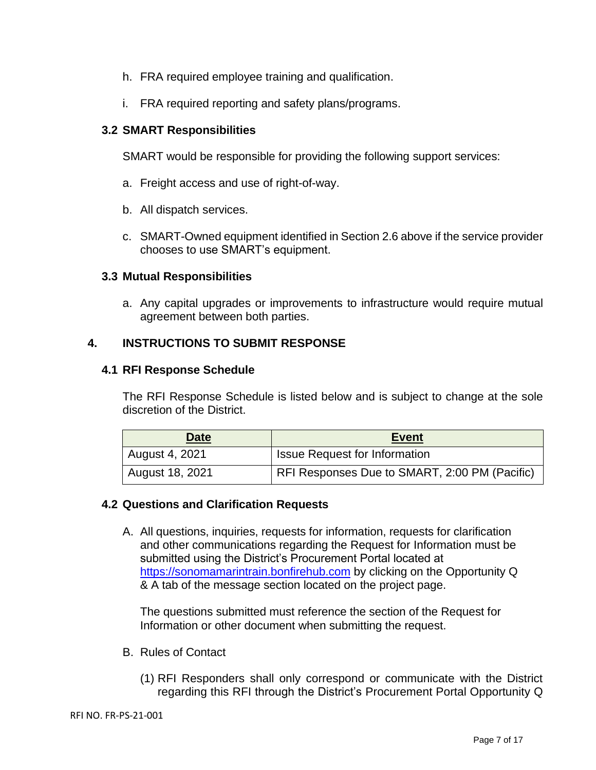- h. FRA required employee training and qualification.
- i. FRA required reporting and safety plans/programs.

## **3.2 SMART Responsibilities**

SMART would be responsible for providing the following support services:

- a. Freight access and use of right-of-way.
- b. All dispatch services.
- c. SMART-Owned equipment identified in Section 2.6 above if the service provider chooses to use SMART's equipment.

## **3.3 Mutual Responsibilities**

a. Any capital upgrades or improvements to infrastructure would require mutual agreement between both parties.

## **4. INSTRUCTIONS TO SUBMIT RESPONSE**

### **4.1 RFI Response Schedule**

The RFI Response Schedule is listed below and is subject to change at the sole discretion of the District.

| <b>Date</b>     | <b>Event</b>                                  |
|-----------------|-----------------------------------------------|
| August 4, 2021  | <b>Issue Request for Information</b>          |
| August 18, 2021 | RFI Responses Due to SMART, 2:00 PM (Pacific) |

### **4.2 Questions and Clarification Requests**

A. All questions, inquiries, requests for information, requests for clarification and other communications regarding the Request for Information must be submitted using the District's Procurement Portal located at [https://sonomamarintrain.bonfirehub.com](https://sonomamarintrain.bonfirehub.com/) by clicking on the Opportunity Q & A tab of the message section located on the project page.

The questions submitted must reference the section of the Request for Information or other document when submitting the request.

- B. Rules of Contact
	- (1) RFI Responders shall only correspond or communicate with the District regarding this RFI through the District's Procurement Portal Opportunity Q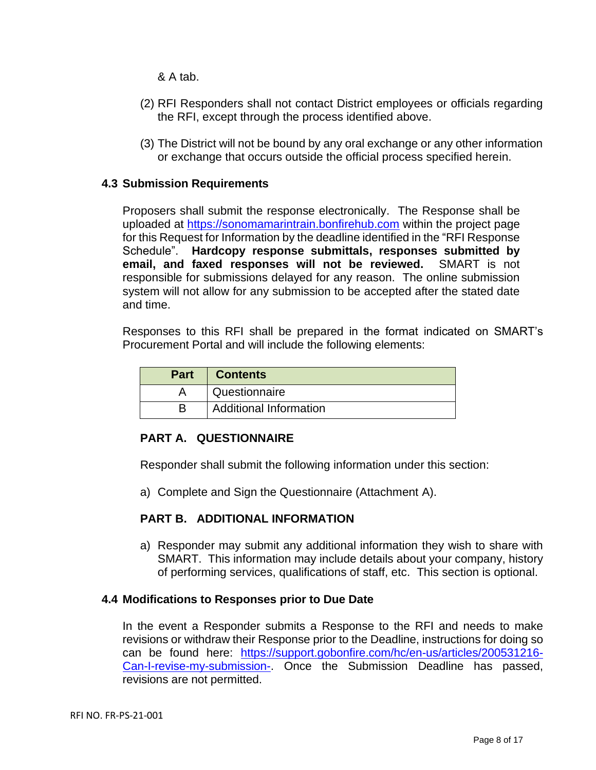& A tab.

- (2) RFI Responders shall not contact District employees or officials regarding the RFI, except through the process identified above.
- (3) The District will not be bound by any oral exchange or any other information or exchange that occurs outside the official process specified herein.

#### **4.3 Submission Requirements**

Proposers shall submit the response electronically. The Response shall be uploaded at [https://sonomamarintrain.bonfirehub.com](https://sonomamarintrain.bonfirehub.com/) within the project page for this Request for Information by the deadline identified in the "RFI Response Schedule". **Hardcopy response submittals, responses submitted by email, and faxed responses will not be reviewed.** SMART is not responsible for submissions delayed for any reason. The online submission system will not allow for any submission to be accepted after the stated date and time.

Responses to this RFI shall be prepared in the format indicated on SMART's Procurement Portal and will include the following elements:

| <b>Part</b> | <b>Contents</b>               |
|-------------|-------------------------------|
|             | Questionnaire                 |
|             | <b>Additional Information</b> |

### **PART A. QUESTIONNAIRE**

Responder shall submit the following information under this section:

a) Complete and Sign the Questionnaire (Attachment A).

### **PART B. ADDITIONAL INFORMATION**

a) Responder may submit any additional information they wish to share with SMART. This information may include details about your company, history of performing services, qualifications of staff, etc. This section is optional.

#### **4.4 Modifications to Responses prior to Due Date**

In the event a Responder submits a Response to the RFI and needs to make revisions or withdraw their Response prior to the Deadline, instructions for doing so can be found here: [https://support.gobonfire.com/hc/en-us/articles/200531216-](https://support.gobonfire.com/hc/en-us/articles/200531216-Can-I-revise-my-submission-) [Can-I-revise-my-submission-.](https://support.gobonfire.com/hc/en-us/articles/200531216-Can-I-revise-my-submission-) Once the Submission Deadline has passed, revisions are not permitted.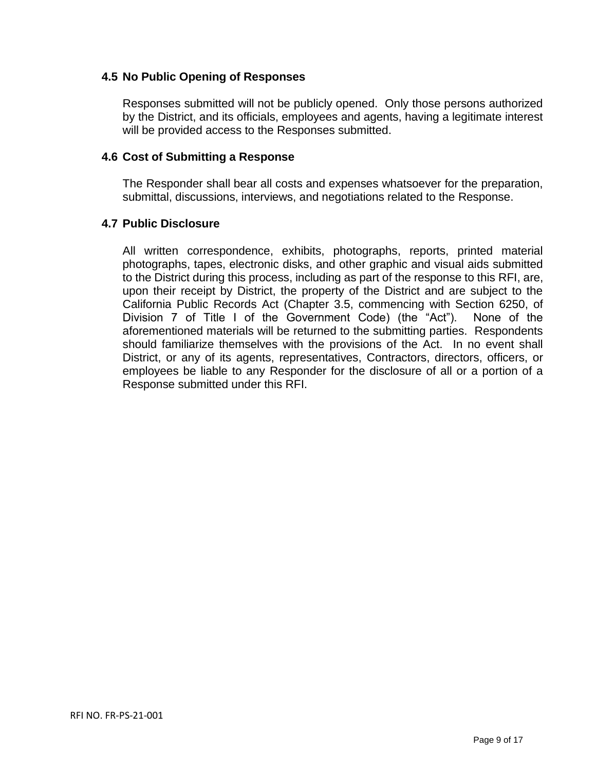## **4.5 No Public Opening of Responses**

Responses submitted will not be publicly opened. Only those persons authorized by the District, and its officials, employees and agents, having a legitimate interest will be provided access to the Responses submitted.

#### **4.6 Cost of Submitting a Response**

The Responder shall bear all costs and expenses whatsoever for the preparation, submittal, discussions, interviews, and negotiations related to the Response.

#### **4.7 Public Disclosure**

All written correspondence, exhibits, photographs, reports, printed material photographs, tapes, electronic disks, and other graphic and visual aids submitted to the District during this process, including as part of the response to this RFI, are, upon their receipt by District, the property of the District and are subject to the California Public Records Act (Chapter 3.5, commencing with Section 6250, of Division 7 of Title I of the Government Code) (the "Act"). None of the aforementioned materials will be returned to the submitting parties. Respondents should familiarize themselves with the provisions of the Act. In no event shall District, or any of its agents, representatives, Contractors, directors, officers, or employees be liable to any Responder for the disclosure of all or a portion of a Response submitted under this RFI.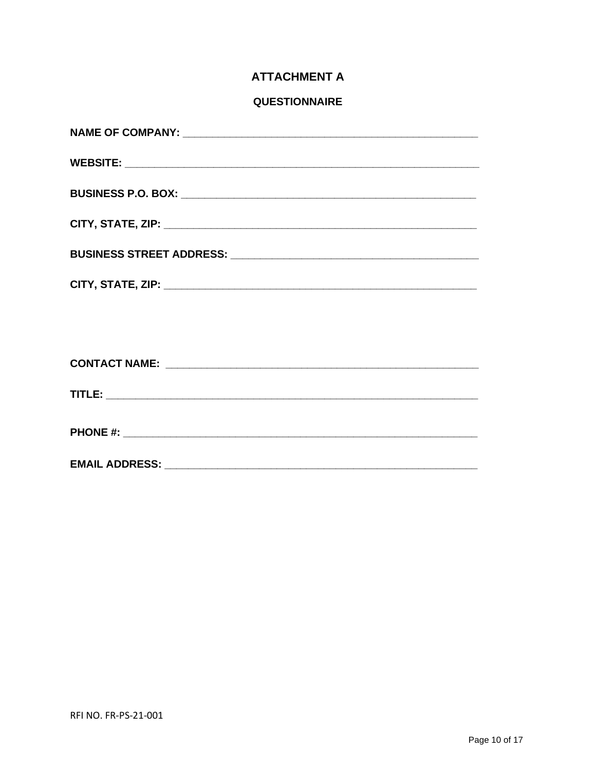# **ATTACHMENT A**

## **QUESTIONNAIRE**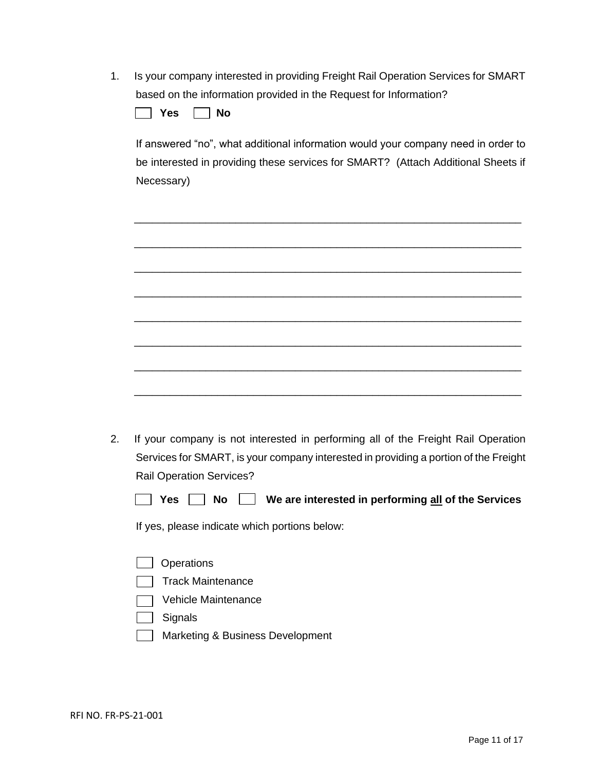| 1. Is your company interested in providing Freight Rail Operation Services for SMART |
|--------------------------------------------------------------------------------------|
| based on the information provided in the Request for Information?                    |

| Nο<br>dс |
|----------|
|----------|

If answered "no", what additional information would your company need in order to be interested in providing these services for SMART? (Attach Additional Sheets if Necessary)

\_\_\_\_\_\_\_\_\_\_\_\_\_\_\_\_\_\_\_\_\_\_\_\_\_\_\_\_\_\_\_\_\_\_\_\_\_\_\_\_\_\_\_\_\_\_\_\_\_\_\_\_\_\_\_\_\_\_\_\_\_\_\_\_\_

\_\_\_\_\_\_\_\_\_\_\_\_\_\_\_\_\_\_\_\_\_\_\_\_\_\_\_\_\_\_\_\_\_\_\_\_\_\_\_\_\_\_\_\_\_\_\_\_\_\_\_\_\_\_\_\_\_\_\_\_\_\_\_\_\_

\_\_\_\_\_\_\_\_\_\_\_\_\_\_\_\_\_\_\_\_\_\_\_\_\_\_\_\_\_\_\_\_\_\_\_\_\_\_\_\_\_\_\_\_\_\_\_\_\_\_\_\_\_\_\_\_\_\_\_\_\_\_\_\_\_

\_\_\_\_\_\_\_\_\_\_\_\_\_\_\_\_\_\_\_\_\_\_\_\_\_\_\_\_\_\_\_\_\_\_\_\_\_\_\_\_\_\_\_\_\_\_\_\_\_\_\_\_\_\_\_\_\_\_\_\_\_\_\_\_\_

\_\_\_\_\_\_\_\_\_\_\_\_\_\_\_\_\_\_\_\_\_\_\_\_\_\_\_\_\_\_\_\_\_\_\_\_\_\_\_\_\_\_\_\_\_\_\_\_\_\_\_\_\_\_\_\_\_\_\_\_\_\_\_\_\_

\_\_\_\_\_\_\_\_\_\_\_\_\_\_\_\_\_\_\_\_\_\_\_\_\_\_\_\_\_\_\_\_\_\_\_\_\_\_\_\_\_\_\_\_\_\_\_\_\_\_\_\_\_\_\_\_\_\_\_\_\_\_\_\_\_

\_\_\_\_\_\_\_\_\_\_\_\_\_\_\_\_\_\_\_\_\_\_\_\_\_\_\_\_\_\_\_\_\_\_\_\_\_\_\_\_\_\_\_\_\_\_\_\_\_\_\_\_\_\_\_\_\_\_\_\_\_\_\_\_\_

\_\_\_\_\_\_\_\_\_\_\_\_\_\_\_\_\_\_\_\_\_\_\_\_\_\_\_\_\_\_\_\_\_\_\_\_\_\_\_\_\_\_\_\_\_\_\_\_\_\_\_\_\_\_\_\_\_\_\_\_\_\_\_\_\_

| 2. If your company is not interested in performing all of the Freight Rail Operation |
|--------------------------------------------------------------------------------------|
| Services for SMART, is your company interested in providing a portion of the Freight |
| <b>Rail Operation Services?</b>                                                      |

|  | <b>Yes</b> | <b>No</b> |  |  |  | We are interested in performing all of the Services |
|--|------------|-----------|--|--|--|-----------------------------------------------------|
|--|------------|-----------|--|--|--|-----------------------------------------------------|

If yes, please indicate which portions below:

- **Operations**
- Track Maintenance
- Vehicle Maintenance
- $\Box$  Signals
- **Marketing & Business Development**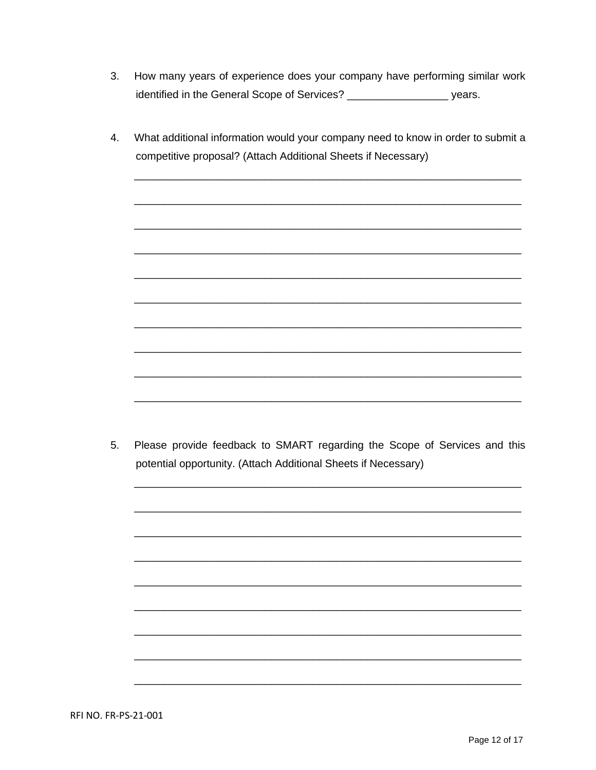- $3<sub>1</sub>$ How many years of experience does your company have performing similar work identified in the General Scope of Services? \_\_\_\_\_\_\_\_\_\_\_\_\_\_\_\_\_\_\_\_\_\_ years.
- 4. What additional information would your company need to know in order to submit a competitive proposal? (Attach Additional Sheets if Necessary)

 $5<sub>1</sub>$ Please provide feedback to SMART regarding the Scope of Services and this potential opportunity. (Attach Additional Sheets if Necessary)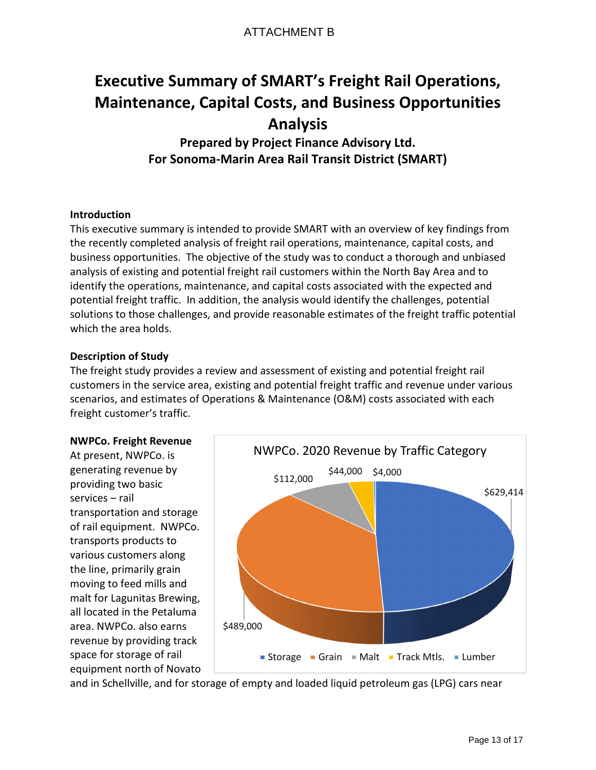# ATTACHMENT B

# **Executive Summary of SMART's Freight Rail Operations, Maintenance, Capital Costs, and Business Opportunities Analysis**

**Prepared by Project Finance Advisory Ltd. For Sonoma-Marin Area Rail Transit District (SMART)**

#### **Introduction**

This executive summary is intended to provide SMART with an overview of key findings from the recently completed analysis of freight rail operations, maintenance, capital costs, and business opportunities. The objective of the study was to conduct a thorough and unbiased analysis of existing and potential freight rail customers within the North Bay Area and to identify the operations, maintenance, and capital costs associated with the expected and potential freight traffic. In addition, the analysis would identify the challenges, potential solutions to those challenges, and provide reasonable estimates of the freight traffic potential which the area holds.

#### **Description of Study**

The freight study provides a review and assessment of existing and potential freight rail customers in the service area, existing and potential freight traffic and revenue under various scenarios, and estimates of Operations & Maintenance (O&M) costs associated with each freight customer's traffic.

#### **NWPCo. Freight Revenue**

At present, NWPCo. is generating revenue by providing two basic services – rail transportation and storage of rail equipment. NWPCo. transports products to various customers along the line, primarily grain moving to feed mills and malt for Lagunitas Brewing, all located in the Petaluma area. NWPCo. also earns revenue by providing track space for storage of rail equipment north of Novato



and in Schellville, and for storage of empty and loaded liquid petroleum gas (LPG) cars near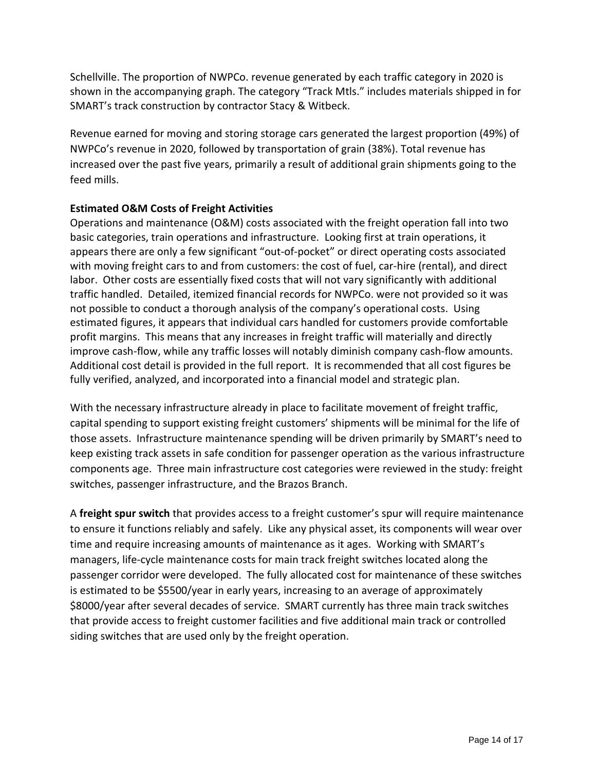Schellville. The proportion of NWPCo. revenue generated by each traffic category in 2020 is shown in the accompanying graph. The category "Track Mtls." includes materials shipped in for SMART's track construction by contractor Stacy & Witbeck.

Revenue earned for moving and storing storage cars generated the largest proportion (49%) of NWPCo's revenue in 2020, followed by transportation of grain (38%). Total revenue has increased over the past five years, primarily a result of additional grain shipments going to the feed mills.

#### **Estimated O&M Costs of Freight Activities**

Operations and maintenance (O&M) costs associated with the freight operation fall into two basic categories, train operations and infrastructure. Looking first at train operations, it appears there are only a few significant "out-of-pocket" or direct operating costs associated with moving freight cars to and from customers: the cost of fuel, car-hire (rental), and direct labor. Other costs are essentially fixed costs that will not vary significantly with additional traffic handled. Detailed, itemized financial records for NWPCo. were not provided so it was not possible to conduct a thorough analysis of the company's operational costs. Using estimated figures, it appears that individual cars handled for customers provide comfortable profit margins. This means that any increases in freight traffic will materially and directly improve cash-flow, while any traffic losses will notably diminish company cash-flow amounts. Additional cost detail is provided in the full report. It is recommended that all cost figures be fully verified, analyzed, and incorporated into a financial model and strategic plan.

With the necessary infrastructure already in place to facilitate movement of freight traffic, capital spending to support existing freight customers' shipments will be minimal for the life of those assets. Infrastructure maintenance spending will be driven primarily by SMART's need to keep existing track assets in safe condition for passenger operation as the various infrastructure components age. Three main infrastructure cost categories were reviewed in the study: freight switches, passenger infrastructure, and the Brazos Branch.

A **freight spur switch** that provides access to a freight customer's spur will require maintenance to ensure it functions reliably and safely. Like any physical asset, its components will wear over time and require increasing amounts of maintenance as it ages. Working with SMART's managers, life-cycle maintenance costs for main track freight switches located along the passenger corridor were developed. The fully allocated cost for maintenance of these switches is estimated to be \$5500/year in early years, increasing to an average of approximately \$8000/year after several decades of service. SMART currently has three main track switches that provide access to freight customer facilities and five additional main track or controlled siding switches that are used only by the freight operation.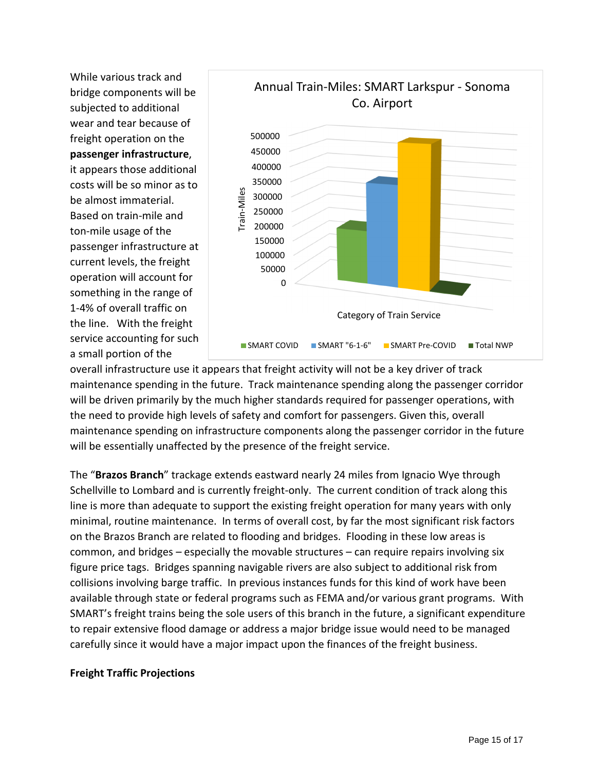While various track and bridge components will be subjected to additional wear and tear because of freight operation on the **passenger infrastructure**, it appears those additional costs will be so minor as to be almost immaterial. Based on train-mile and ton-mile usage of the passenger infrastructure at current levels, the freight operation will account for something in the range of 1-4% of overall traffic on the line. With the freight service accounting for such a small portion of the



overall infrastructure use it appears that freight activity will not be a key driver of track maintenance spending in the future. Track maintenance spending along the passenger corridor will be driven primarily by the much higher standards required for passenger operations, with the need to provide high levels of safety and comfort for passengers. Given this, overall maintenance spending on infrastructure components along the passenger corridor in the future will be essentially unaffected by the presence of the freight service.

The "**Brazos Branch**" trackage extends eastward nearly 24 miles from Ignacio Wye through Schellville to Lombard and is currently freight-only. The current condition of track along this line is more than adequate to support the existing freight operation for many years with only minimal, routine maintenance. In terms of overall cost, by far the most significant risk factors on the Brazos Branch are related to flooding and bridges. Flooding in these low areas is common, and bridges – especially the movable structures – can require repairs involving six figure price tags. Bridges spanning navigable rivers are also subject to additional risk from collisions involving barge traffic. In previous instances funds for this kind of work have been available through state or federal programs such as FEMA and/or various grant programs. With SMART's freight trains being the sole users of this branch in the future, a significant expenditure to repair extensive flood damage or address a major bridge issue would need to be managed carefully since it would have a major impact upon the finances of the freight business.

#### **Freight Traffic Projections**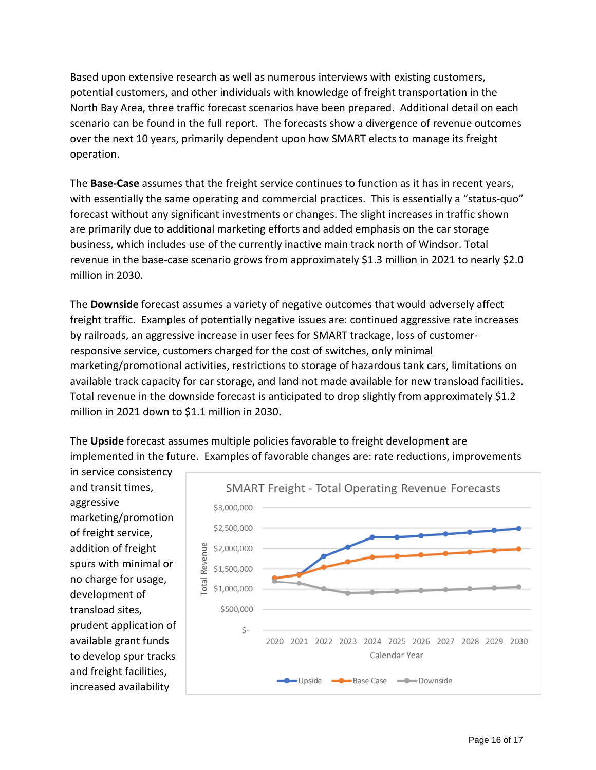Based upon extensive research as well as numerous interviews with existing customers, potential customers, and other individuals with knowledge of freight transportation in the North Bay Area, three traffic forecast scenarios have been prepared. Additional detail on each scenario can be found in the full report. The forecasts show a divergence of revenue outcomes over the next 10 years, primarily dependent upon how SMART elects to manage its freight operation.

The **Base-Case** assumes that the freight service continues to function as it has in recent years, with essentially the same operating and commercial practices. This is essentially a "status-quo" forecast without any significant investments or changes. The slight increases in traffic shown are primarily due to additional marketing efforts and added emphasis on the car storage business, which includes use of the currently inactive main track north of Windsor. Total revenue in the base-case scenario grows from approximately \$1.3 million in 2021 to nearly \$2.0 million in 2030.

The **Downside** forecast assumes a variety of negative outcomes that would adversely affect freight traffic. Examples of potentially negative issues are: continued aggressive rate increases by railroads, an aggressive increase in user fees for SMART trackage, loss of customerresponsive service, customers charged for the cost of switches, only minimal marketing/promotional activities, restrictions to storage of hazardous tank cars, limitations on available track capacity for car storage, and land not made available for new transload facilities. Total revenue in the downside forecast is anticipated to drop slightly from approximately \$1.2 million in 2021 down to \$1.1 million in 2030.

The **Upside** forecast assumes multiple policies favorable to freight development are implemented in the future. Examples of favorable changes are: rate reductions, improvements

in service consistency and transit times, aggressive marketing/promotion of freight service, addition of freight spurs with minimal or no charge for usage, development of transload sites, prudent application of available grant funds to develop spur tracks and freight facilities, increased availability